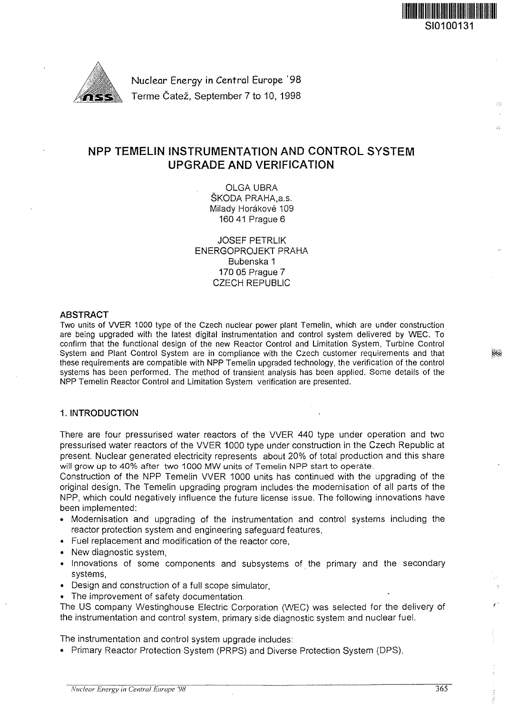

Nuclear Energy in Central Europe '98 Terme Čatež, September 7 to 10, 1998

## NPP TEMELIN INSTRUMENTATION AND CONTROL SYSTEM UPGRADE AND VERIFICATION

OLGA UBRA SKODA PRAHA.a.s. Milady Horákové 109 160 41 Prague 6

JOSEF PETRLIK ENERGOPROJEKT PRAHA Bubenska 1 170 05 Prague 7 CZECH REPUBLIC

#### **ABSTRACT**

Two units of WER 1000 type of the Czech nuclear power plant Temelin, which are under construction are being upgraded with the latest digital instrumentation and control system delivered by WEC. To confirm that the functional design of the new Reactor Control and Limitation System, Turbine Control System and Plant Control System are in compliance with the Czech customer requirements and that these requirements are compatible with NPP Temelin upgraded technology, the verification of the control systems has been performed. The method of transient analysis has been applied. Some details of the NPP Temelin Reactor Control and Limitation System verification are presented.

#### 1. **INTRODUCTION**

There are four pressurised water reactors of the VVER 440 type under operation and two pressurised water reactors of the VVER 1000 type under construction in the Czech Republic at present. Nuclear generated electricity represents about 20% of total production and this share will grow up to 40% after two 1000 MW units of Temelin NPP start to operate.

Construction of the NPP Temelin VVER 1000 units has continued with the upgrading of the original design. The Temelin upgrading program includes the modernisation of all parts of the NPP, which could negatively influence the future license issue. The following innovations have been implemented:

- Modernisation and upgrading of the instrumentation and control systems including the reactor protection system and engineering safeguard features,
- Fuel replacement and modification of the reactor core,
- New diagnostic system,
- Innovations of some components and subsystems of the primary and the secondary systems,
- Design and construction of a full scope simulator,
- The improvement of safety documentation.

The US company Westinghouse Electric Corporation (WEC) was selected for the delivery of the instrumentation and control system, primary side diagnostic system and nuclear fuel.

The instrumentation and control system upgrade includes:

• Primary Reactor Protection System (PRPS) and Diverse Protection System (DPS),

SI0100131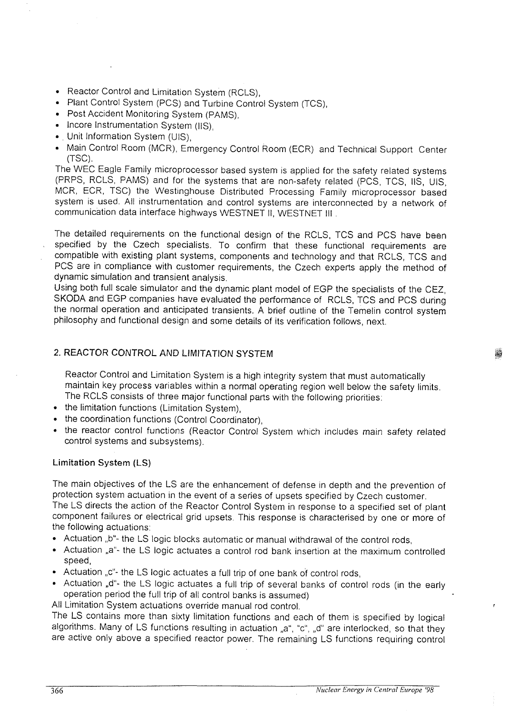- Reactor Control and Limitation System (RCLS),
- Plant Control System (PCS) and Turbine Control System (TCS),
- Post Accident Monitoring System (PAMS),
- Incore Instrumentation System (IIS),
- . Unit Information System (UIS),
- Main Control Room (MCR), Emergency Control Room (ECR) and Technical Support Center (TSC).

The WEC Eagle Family microprocessor based system is applied for the safety related systems (PRPS, RCLS, PAMS) and for the systems that are non-safety related (PCS, TCS, IIS, UIS, MCR, ECR, TSC) the Westinghouse Distributed Processing Family microprocessor based system is used. All instrumentation and control systems are interconnected by a network of communication data interface highways WESTNET II, WESTNET III .

The detailed requirements on the functional design of the RCLS, TCS and PCS have been specified by the Czech specialists. To confirm that these functional requirements are compatible with existing plant systems, components and technology and that RCLS, TCS and PCS are in compliance with customer requirements, the Czech experts apply the method of dynamic simulation and transient analysis.

Using both full scale simulator and the dynamic plant model of EGP the specialists of the CEZ, SKODA and EGP companies have evaluated the performance of RCLS, TCS and PCS during the normal operation and anticipated transients. A brief outline of the Temelin control system philosophy and functional design and some details of its verification follows, next.

## 2. REACTOR CONTROL AND LIMITATION SYSTEM

Reactor Control and Limitation System is a high integrity system that must automatically maintain key process variables within a normal operating region well below the safety limits. The RCLS consists of three major functional parts with the following priorities:

- the limitation functions (Limitation System),
- the coordination functions (Control Coordinator),
- the reactor control functions (Reactor Control System which includes main safety related control systems and subsystems).

## Limitation System (LS)

The main objectives of the LS are the enhancement of defense in depth and the prevention of protection system actuation in the event of a series of upsets specified by Czech customer. The LS directs the action of the Reactor Control System in response to a specified set of plant component failures or electrical grid upsets. This response is characterised by one or more of the following actuations:

- Actuation "b"- the LS logic blocks automatic or manual withdrawal of the control rods,
- Actuation ,,a"- the LS logic actuates a control rod bank insertion at the maximum controlled speed,
- Actuation "c"- the LS logic actuates a full trip of one bank of control rods,
- Actuation "d"- the LS logic actuates a full trip of several banks of control rods (in the early operation period the full trip of all control banks is assumed)

All Limitation System actuations override manual rod control.

The LS contains more than sixty limitation functions and each of them is specified by logical algorithms. Many of LS functions resulting in actuation "a", "c", "d" are interlocked, so that they are active only above a specified reactor power. The remaining LS functions requiring control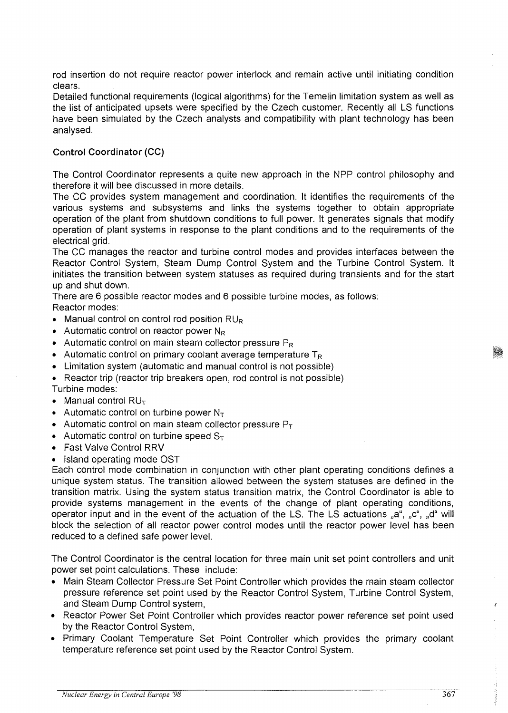rod insertion do not require reactor power interlock and remain active until initiating condition clears.

Detailed functional requirements (logical algorithms) for the Temelin limitation system as well as the list of anticipated upsets were specified by the Czech customer. Recently all LS functions have been simulated by the Czech analysts and compatibility with plant technology has been analysed.

## **Control Coordinator (CC)**

The Control Coordinator represents a quite new approach in the NPP control philosophy and therefore it will bee discussed in more details.

The CC provides system management and coordination. It identifies the requirements of the various systems and subsystems and links the systems together to obtain appropriate operation of the plant from shutdown conditions to full power. It generates signals that modify operation of plant systems in response to the plant conditions and to the requirements of the electrical grid.

The CC manages the reactor and turbine control modes and provides interfaces between the Reactor Control System, Steam Dump Control System and the Turbine Control System. It initiates the transition between system statuses as required during transients and for the start up and shut down.

There are 6 possible reactor modes and 6 possible turbine modes, as follows: Reactor modes:

- Manual control on control rod position  $RU_R$
- Automatic control on reactor power  $N_R$
- Automatic control on main steam collector pressure  $P_R$
- Automatic control on primary coolant average temperature  $T_R$
- Limitation system (automatic and manual control is not possible)
- Reactor trip (reactor trip breakers open, rod control is not possible) Turbine modes:
- Manual control  $RU<sub>T</sub>$
- Automatic control on turbine power  $N_T$
- Automatic control on main steam collector pressure  $P_T$
- Automatic control on turbine speed  $S_T$
- Fast Valve Control RRV

### • Island operating mode OST

Each control mode combination in conjunction with other plant operating conditions defines a unique system status. The transition allowed between the system statuses are defined in the transition matrix. Using the system status transition matrix, the Control Coordinator is able to provide systems management in the events of the change of plant operating conditions, operator input and in the event of the actuation of the LS. The LS actuations "a", "c", "d" will block the selection of all reactor power control modes until the reactor power level has been reduced to a defined safe power level.

The Control Coordinator is the central location for three main unit set point controllers and unit power set point calculations. These include:

- Main Steam Collector Pressure Set Point Controller which provides the main steam collector pressure reference set point used by the Reactor Control System, Turbine Control System, and Steam Dump Control system,
- Reactor Power Set Point Controller which provides reactor power reference set point used by the Reactor Control System,
- Primary Coolant Temperature Set Point Controller which provides the primary coolant temperature reference set point used by the Reactor Control System.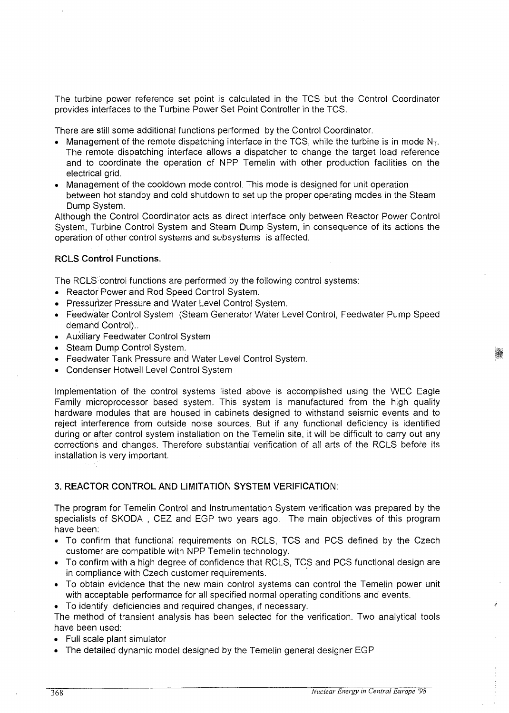The turbine power reference set point is calculated in the TCS but the Control Coordinator provides interfaces to the Turbine Power Set Point Controller in the TCS.

There are still some additional functions performed by the Control Coordinator.

- Management of the remote dispatching interface in the TCS, while the turbine is in mode  $N_T$ . The remote dispatching interface allows a dispatcher to change the target load reference and to coordinate the operation of NPP Temelin with other production facilities on the electrical grid.
- Management of the cooldown mode control. This mode is designed for unit operation between hot standby and cold shutdown to set up the proper operating modes in the Steam Dump System.

Although the Control Coordinator acts as direct interface only between Reactor Power Control System, Turbine Control System and Steam Dump System, in consequence of its actions the operation of other control systems and subsystems is affected.

## **RCLS Control Functions.**

The RCLS control functions are performed by the following control systems:

- Reactor Power and Rod Speed Control System.
- Pressurizer Pressure and Water Level Control System.
- Feedwater Control System (Steam Generator Water Level Control, Feedwater Pump Speed demand Control)..
- Auxiliary Feedwater Control System
- Steam Dump Control System.
- Feedwater Tank Pressure and Water Level Control System.
- Condenser Hotwell Level Control System

Implementation of the control systems listed above is accomplished using the WEC Eagle Family microprocessor based system. This system is manufactured from the high quality hardware modules that are housed in cabinets designed to withstand seismic events and to reject interference from outside noise sources. But if any functional deficiency is identified during or after control system installation on the Temelin site, it will be difficult to carry out any corrections and changes. Therefore substantial verification of all arts of the RCLS before its installation is very important.

## **3. REACTOR CONTROL AND LIMITATION SYSTEM VERIFICATION:**

The program for Temelin Control and Instrumentation System verification was prepared by the specialists of SKODA , CEZ and EGP two years ago. The main objectives of this program have been:

- To confirm that functional requirements on RCLS, TCS and PCS defined by the Czech customer are compatible with NPP Temelin technology.
- To confirm with a high degree of confidence that RCLS, TCS and PCS functional design are in compliance with Czech customer requirements.
- To obtain evidence that the new main control systems can control the Temelin power unit with acceptable performance for all specified normal operating conditions and events.
- To identify deficiencies and required changes, if necessary.

The method of transient analysis has been selected for the verification. Two analytical tools have been used:

- Full scale plant simulator
- The detailed dynamic model designed by the Temelin general designer EGP

Ŕ.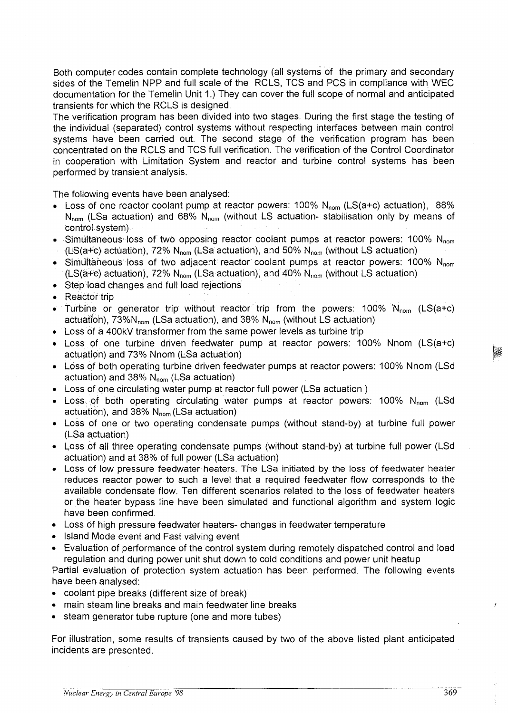Both computer codes contain complete technology (all systems of the primary and secondary sides of the Temelin NPP and full scale of the RCLS, TCS and PCS in compliance with WEC documentation for the Temelin Unit 1.) They can cover the full scope of normal and anticipated transients for which the RCLS is designed.

The verification program has been divided into two stages. During the first stage the testing of the individual (separated) control systems without respecting interfaces between main control systems have been carried out. The second stage of the verification program has been concentrated on the RCLS and TCS full verification. The verification of the Control Coordinator in cooperation with Limitation System and reactor and turbine control systems has been performed by transient analysis.

The following events have been analysed:

- Loss of one reactor coolant pump at reactor powers: 100% N<sub>nom</sub> (LS(a+c) actuation), 88%  $N_{nom}$  (LSa actuation) and 68%  $N_{nom}$  (without LS actuation- stabilisation only by means of control system)
- Simultaneous loss of two opposing reactor coolant pumps at reactor powers: 100%  $N_{\text{nom}}$ (LS(a+c) actuation), 72%  $N_{nom}$  (LSa actuation), and 50%  $N_{nom}$  (without LS actuation)
- Simultaneous loss of two adjacent reactor coolant pumps at reactor powers: 100%  $N_{\text{nom}}$ (LS $(a+c)$  actuation), 72% N<sub>nom</sub> (LSa actuation), and 40% N<sub>nom</sub> (without LS actuation)
- Step load changes and full load rejections
- Reactor trip
- Turbine or generator trip without reactor trip from the powers:  $100\%$  N<sub>nom</sub> (LS(a+c) actuation),  $73\%N_{nom}$  (LSa actuation), and  $38\%$  N<sub>nom</sub> (without LS actuation)
- Loss of a 400kV transformer from the same power levels as turbine trip
- Loss of one turbine driven feedwater pump at reactor powers: 100% Nnom (LS(a+c) actuation) and 73% Nnom (LSa actuation)
- Loss of both operating turbine driven feedwater pumps at reactor powers: 100% Nnom (LSd actuation) and  $38\%$  N<sub>nom</sub> (LSa actuation)
- Loss of one circulating water pump at reactor full power (LSa actuation )
- Loss of both operating circulating water pumps at reactor powers:  $100\%$  N<sub>nom</sub> (LSd actuation), and 38%  $N_{\text{nom}}$  (LSa actuation)
- Loss of one or two operating condensate pumps (without stand-by) at turbine full power (LSa actuation)
- Loss of all three operating condensate pumps (without stand-by) at turbine full power (LSd actuation) and at 38% of full power (LSa actuation)
- Loss of low pressure feedwater heaters. The LSa initiated by the loss of feedwater heater reduces reactor power to such a level that a required feedwater flow corresponds to the available condensate flow. Ten different scenarios related to the loss of feedwater heaters or the heater bypass line have been simulated and functional algorithm and system logic have been confirmed.
- Loss of high pressure feedwater heaters- changes in feedwater temperature
- Island Mode event and Fast valving event
- Evaluation of performance of the control system during remotely dispatched control and load regulation and during power unit shut down to cold conditions and power unit heatup

Partial evaluation of protection system actuation has been performed. The following events have been analysed:

- coolant pipe breaks (different size of break)
- main steam line breaks and main feedwater line breaks
- steam generator tube rupture (one and more tubes)

For illustration, some results of transients caused by two of the above listed plant anticipated incidents are presented.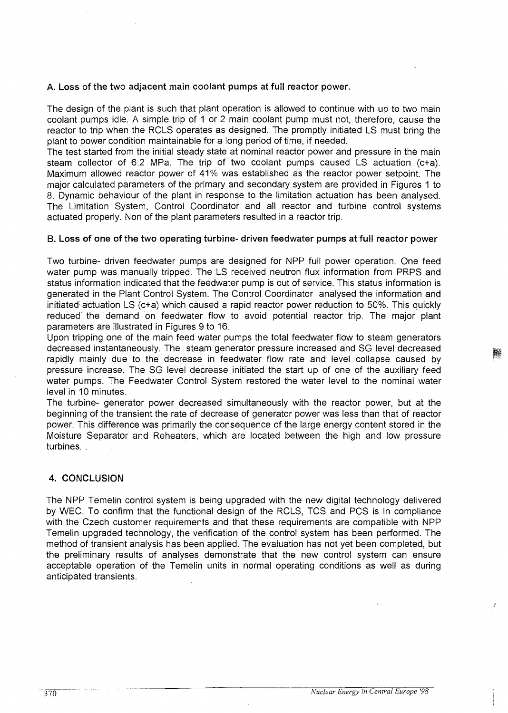## **A. Loss of the two adjacent main coolant pumps at full reactor power.**

The design of the plant is such that plant operation is allowed to continue with up to two main coolant pumps idle. A simple trip of 1 or 2 main coolant pump must not, therefore, cause the reactor to trip when the RCLS operates as designed. The promptly initiated LS must bring the plant to power condition maintainable for a long period of time, if needed.

The test started from the initial steady state at nominal reactor power and pressure in the main steam collector of 6.2 MPa. The trip of two coolant pumps caused LS actuation (c+a). Maximum allowed reactor power of 41% was established as the reactor power setpoint. The major calculated parameters of the primary and secondary system are provided in Figures 1 to 8. Dynamic behaviour of the plant in response to the limitation actuation has been analysed. The Limitation System, Control Coordinator and all reactor and turbine control, systems actuated properly. Non of the plant parameters resulted in a reactor trip.

## **B. Loss of one of the two operating turbine- driven feedwater pumps at full reactor power**

Two turbine- driven feedwater pumps are designed for NPP full power operation. One feed water pump was manually tripped. The LS received neutron flux information from PRPS and status information indicated that the feedwater pump is out of service. This status information is generated in the Plant Control System. The Control Coordinator analysed the information and initiated actuation LS (c+a) which caused a rapid reactor power reduction to 50%. This quickly reduced the demand on feedwater flow to avoid potential reactor trip. The major plant parameters are illustrated in Figures 9 to 16.

Upon tripping one of the main feed water pumps the total feedwater flow to steam generators decreased instantaneously. The steam generator pressure increased and SG level decreased rapidly mainly due to the decrease in feedwater flow rate and level collapse caused by pressure increase. The SG level decrease initiated the start up of one of the auxiliary feed water pumps. The Feedwater Control System restored the water level to the nominal water level in 10 minutes.

The turbine- generator power decreased simultaneously with the reactor power, but at the beginning of the transient the rate of decrease of generator power was less than that of reactor power. This difference was primarily the consequence of the large energy content stored in the Moisture Separator and Reheaters, which are located between the high and low pressure turbines. .

## **4. CONCLUSION**

The NPP Temelin control system is being upgraded with the new digital technology delivered by WEC. To confirm that the functional design of the RCLS, TCS and PCS is in compliance with the Czech customer requirements and that these requirements are compatible with NPP Temelin upgraded technology, the verification of the control system has been performed. The method of transient analysis has been applied. The evaluation has not yet been completed, but the preliminary results of analyses demonstrate that the new control system can ensure acceptable operation of the Temelin units in normal operating conditions as well as during anticipated transients.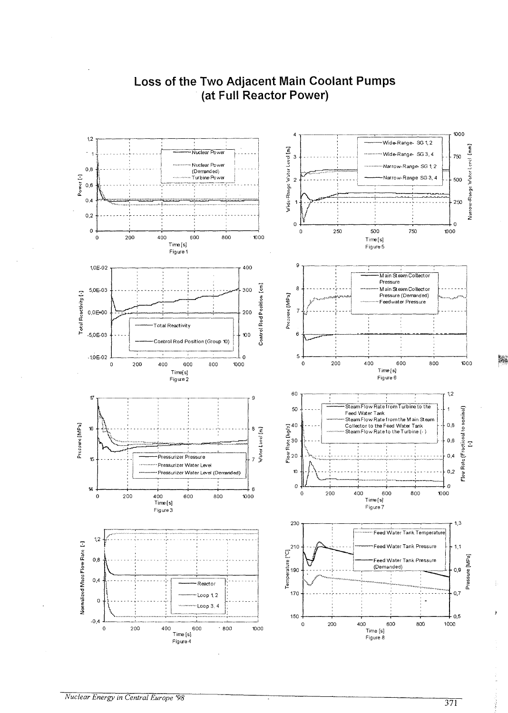

# **Loss of the Two Adjacent Main Coolant Pumps (at Full Reactor Power)**

Ş.